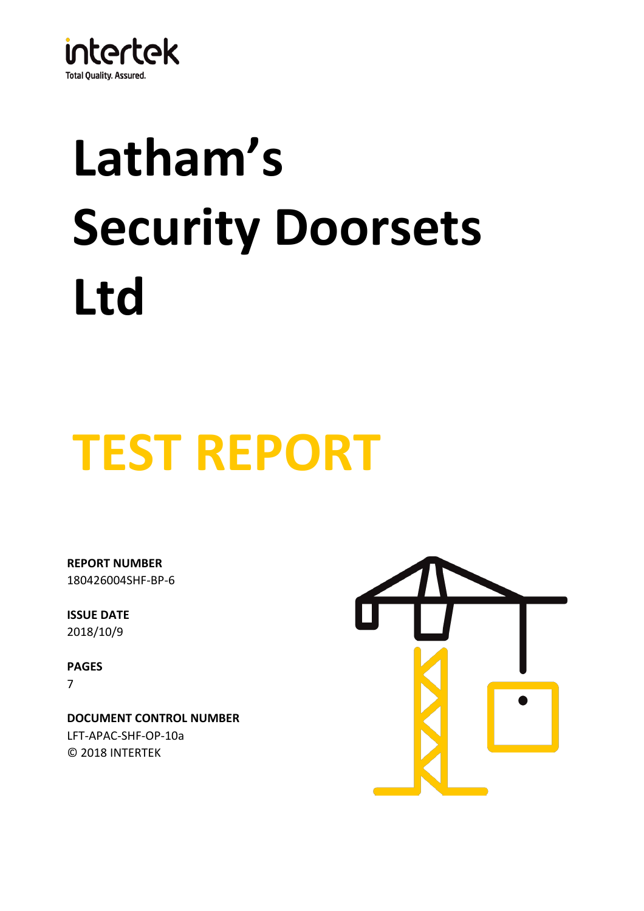

# **Latham's Security Doorsets Ltd**

## **TEST REPORT**

180426004SHF-BP-6 **REPORT NUMBER**

**ISSUE DATE** 2018/10/9

**PAGES** 7

© 2018 INTERTEK **DOCUMENT CONTROL NUMBER** LFT-APAC-SHF-OP-10a

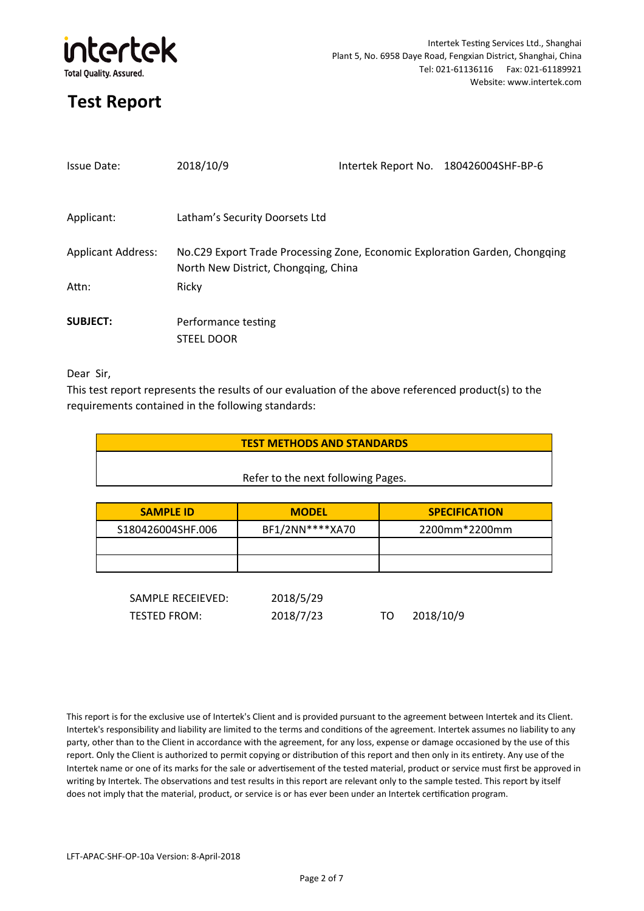

| <b>Issue Date:</b>        | 2018/10/9                                                                                                           | Intertek Report No. 180426004SHF-BP-6 |
|---------------------------|---------------------------------------------------------------------------------------------------------------------|---------------------------------------|
| Applicant:                | Latham's Security Doorsets Ltd                                                                                      |                                       |
| <b>Applicant Address:</b> | No.C29 Export Trade Processing Zone, Economic Exploration Garden, Chongqing<br>North New District, Chongging, China |                                       |
| Attn:                     | Ricky                                                                                                               |                                       |
| <b>SUBJECT:</b>           | Performance testing<br><b>STEEL DOOR</b>                                                                            |                                       |

Dear Sir,

This test report represents the results of our evaluation of the above referenced product(s) to the requirements contained in the following standards:

| <b>TEST METHODS AND STANDARDS</b> |  |  |  |
|-----------------------------------|--|--|--|
|                                   |  |  |  |

#### Refer to the next following Pages.

| <b>SAMPLE ID</b>  | <b>MODEL</b>    | <b>SPECIFICATION</b> |
|-------------------|-----------------|----------------------|
| S180426004SHF.006 | BF1/2NN****XA70 | 2200mm*2200mm        |
|                   |                 |                      |
|                   |                 |                      |

| SAMPLE RECEIEVED: | 2018/5/29 |           |
|-------------------|-----------|-----------|
| TESTED FROM:      | 2018/7/23 | 2018/10/9 |

This report is for the exclusive use of Intertek's Client and is provided pursuant to the agreement between Intertek and its Client. Intertek's responsibility and liability are limited to the terms and conditions of the agreement. Intertek assumes no liability to any party, other than to the Client in accordance with the agreement, for any loss, expense or damage occasioned by the use of this report. Only the Client is authorized to permit copying or distribution of this report and then only in its entirety. Any use of the Intertek name or one of its marks for the sale or advertisement of the tested material, product or service must first be approved in writing by Intertek. The observations and test results in this report are relevant only to the sample tested. This report by itself does not imply that the material, product, or service is or has ever been under an Intertek certification program.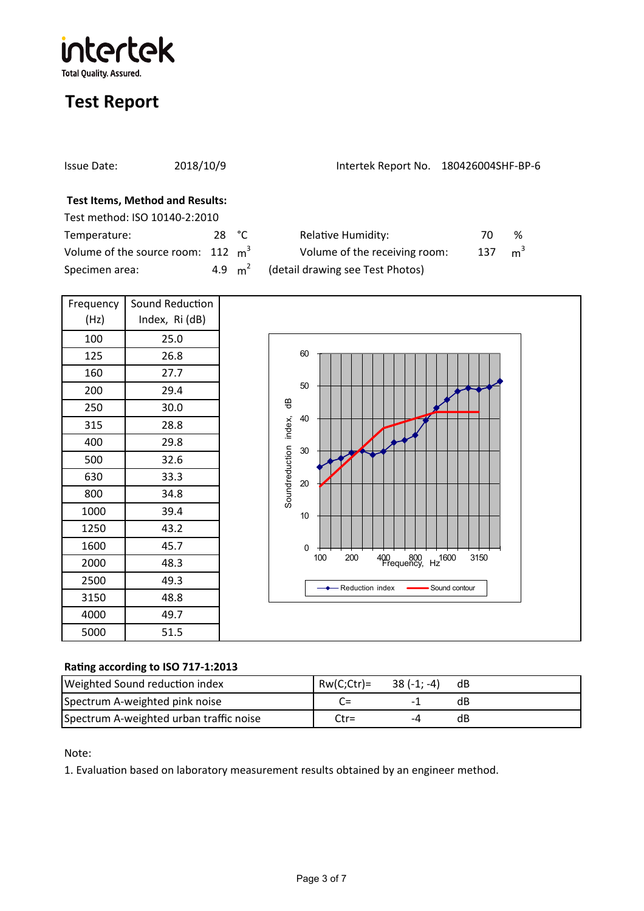intertek **Total Quality. Assured.** 

## **Test Report**

| Issue Date:                                  | 2018/10/9       | Intertek Report No. 180426004SHF-BP-6 |     |                |
|----------------------------------------------|-----------------|---------------------------------------|-----|----------------|
| <b>Test Items, Method and Results:</b>       |                 |                                       |     |                |
| Test method: ISO 10140-2:2010                |                 |                                       |     |                |
| Temperature:                                 | 28 $^{\circ}$ C | <b>Relative Humidity:</b>             | 70  | ℅              |
| Volume of the source room: $112 \text{ m}^3$ |                 | Volume of the receiving room:         | 137 | m <sup>3</sup> |
| Specimen area:                               | 4.9 $m^2$       | (detail drawing see Test Photos)      |     |                |

| Frequency | Sound Reduction |  |
|-----------|-----------------|--|
| (Hz)      | Index, Ri (dB)  |  |
| 100       | 25.0            |  |
| 125       | 26.8            |  |
| 160       | 27.7            |  |
| 200       | 29.4            |  |
| 250       | 30.0            |  |
| 315       | 28.8            |  |
| 400       | 29.8            |  |
| 500       | 32.6            |  |
| 630       | 33.3            |  |
| 800       | 34.8            |  |
| 1000      | 39.4            |  |
| 1250      | 43.2            |  |
| 1600      | 45.7            |  |
| 2000      | 48.3            |  |
| 2500      | 49.3            |  |
| 3150      | 48.8            |  |
| 4000      | 49.7            |  |
| 5000      | 51.5            |  |



#### **Ra�ng according to ISO 717-1:2013**

| Weighted Sound reduction index          | $RW(C;ctr) =$ 38 (-1; -4) |               | dB |
|-----------------------------------------|---------------------------|---------------|----|
| Spectrum A-weighted pink noise          | $C=$                      |               | dB |
| Spectrum A-weighted urban traffic noise | $C$ tr=                   | $\mathcal{L}$ | dB |

Note:

1. Evaluation based on laboratory measurement results obtained by an engineer method.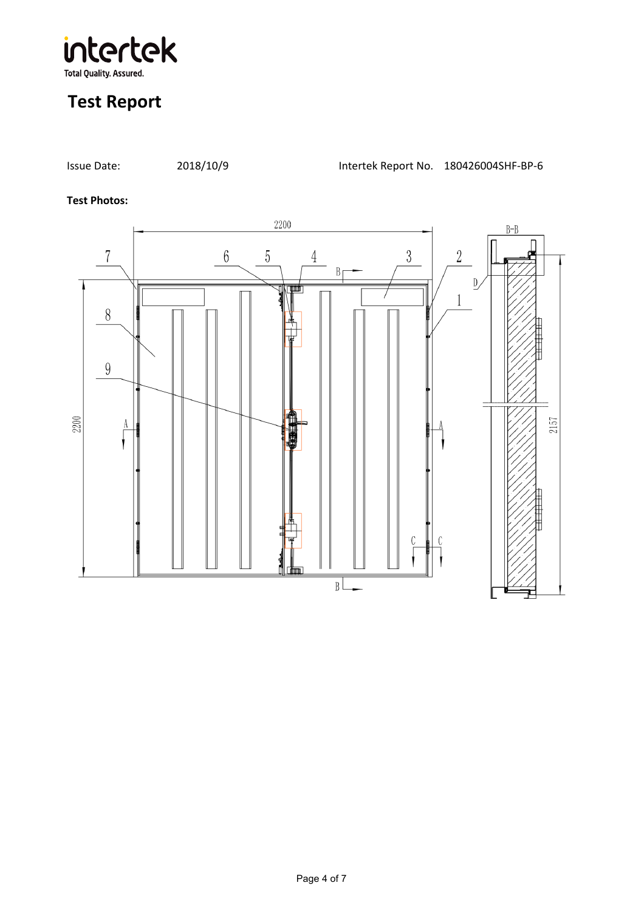

#### **Test Photos:**

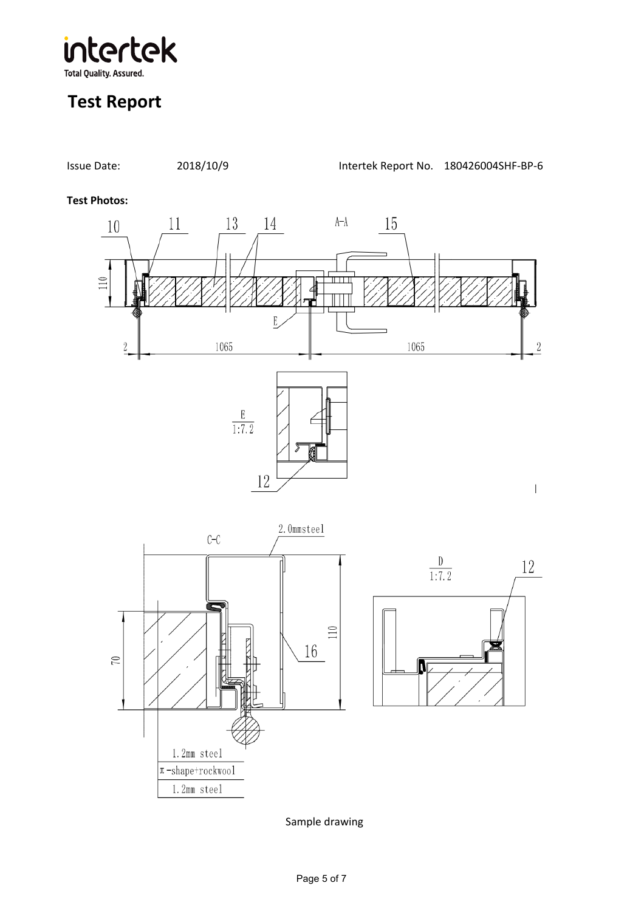intertek **Total Quality. Assured.** 

## **Test Report**



Sample drawing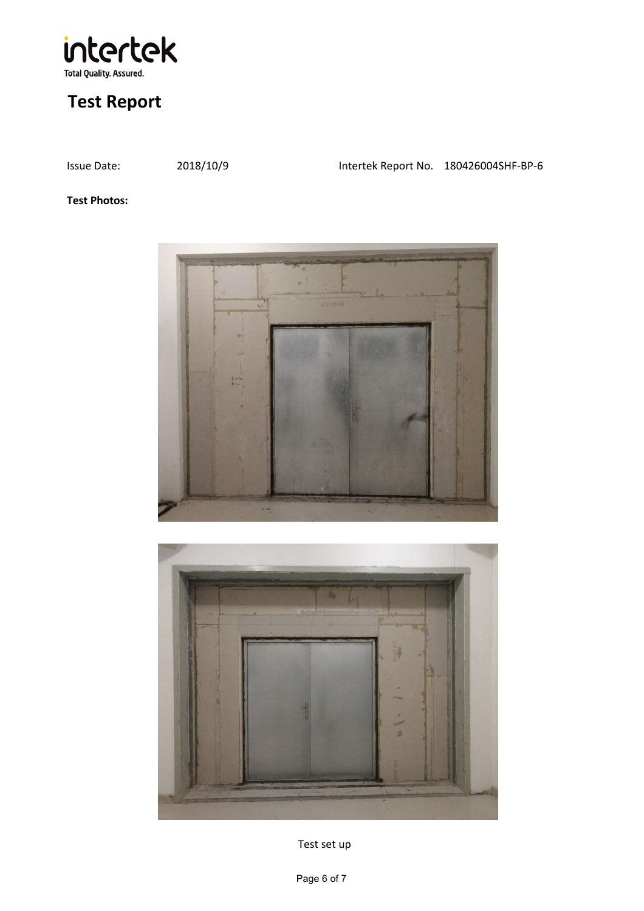

Issue Date: 2018/10/9 Intertek Report No. 180426004SHF-BP-6

#### **Test Photos:**





Test set up

Page 6 of 7